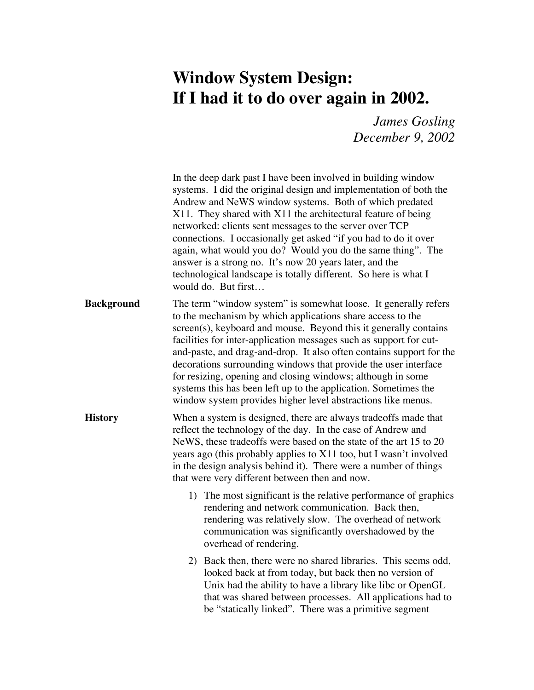## **Window System Design: If I had it to do over again in 2002.**

*James Gosling December 9, 2002*

|                   | In the deep dark past I have been involved in building window<br>systems. I did the original design and implementation of both the<br>Andrew and NeWS window systems. Both of which predated<br>X11. They shared with X11 the architectural feature of being<br>networked: clients sent messages to the server over TCP<br>connections. I occasionally get asked "if you had to do it over<br>again, what would you do? Would you do the same thing". The<br>answer is a strong no. It's now 20 years later, and the<br>technological landscape is totally different. So here is what I<br>would do. But first       |
|-------------------|----------------------------------------------------------------------------------------------------------------------------------------------------------------------------------------------------------------------------------------------------------------------------------------------------------------------------------------------------------------------------------------------------------------------------------------------------------------------------------------------------------------------------------------------------------------------------------------------------------------------|
| <b>Background</b> | The term "window system" is somewhat loose. It generally refers<br>to the mechanism by which applications share access to the<br>screen(s), keyboard and mouse. Beyond this it generally contains<br>facilities for inter-application messages such as support for cut-<br>and-paste, and drag-and-drop. It also often contains support for the<br>decorations surrounding windows that provide the user interface<br>for resizing, opening and closing windows; although in some<br>systems this has been left up to the application. Sometimes the<br>window system provides higher level abstractions like menus. |
| <b>History</b>    | When a system is designed, there are always tradeoffs made that<br>reflect the technology of the day. In the case of Andrew and<br>NeWS, these tradeoffs were based on the state of the art 15 to 20<br>years ago (this probably applies to X11 too, but I wasn't involved<br>in the design analysis behind it). There were a number of things<br>that were very different between then and now.                                                                                                                                                                                                                     |
|                   | 1) The most significant is the relative performance of graphics<br>rendering and network communication. Back then,<br>rendering was relatively slow. The overhead of network<br>communication was significantly overshadowed by the<br>overhead of rendering.                                                                                                                                                                                                                                                                                                                                                        |
|                   | 2) Back then, there were no shared libraries. This seems odd,<br>looked back at from today, but back then no version of<br>Unix had the ability to have a library like libc or OpenGL<br>that was shared between processes. All applications had to<br>be "statically linked". There was a primitive segment                                                                                                                                                                                                                                                                                                         |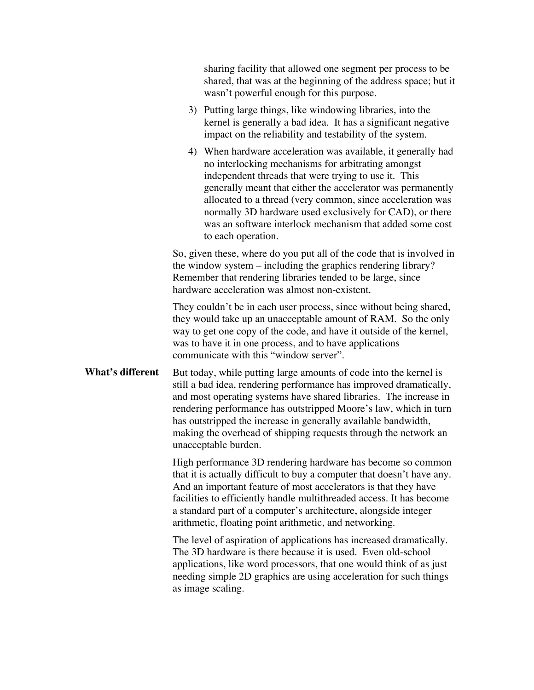|                         | sharing facility that allowed one segment per process to be<br>shared, that was at the beginning of the address space; but it<br>wasn't powerful enough for this purpose.                                                                                                                                                                                                                                                                              |
|-------------------------|--------------------------------------------------------------------------------------------------------------------------------------------------------------------------------------------------------------------------------------------------------------------------------------------------------------------------------------------------------------------------------------------------------------------------------------------------------|
|                         | 3) Putting large things, like windowing libraries, into the<br>kernel is generally a bad idea. It has a significant negative<br>impact on the reliability and testability of the system.                                                                                                                                                                                                                                                               |
|                         | 4) When hardware acceleration was available, it generally had<br>no interlocking mechanisms for arbitrating amongst<br>independent threads that were trying to use it. This<br>generally meant that either the accelerator was permanently<br>allocated to a thread (very common, since acceleration was<br>normally 3D hardware used exclusively for CAD), or there<br>was an software interlock mechanism that added some cost<br>to each operation. |
|                         | So, given these, where do you put all of the code that is involved in<br>the window system – including the graphics rendering library?<br>Remember that rendering libraries tended to be large, since<br>hardware acceleration was almost non-existent.                                                                                                                                                                                                |
|                         | They couldn't be in each user process, since without being shared,<br>they would take up an unacceptable amount of RAM. So the only<br>way to get one copy of the code, and have it outside of the kernel,<br>was to have it in one process, and to have applications<br>communicate with this "window server".                                                                                                                                        |
| <b>What's different</b> | But today, while putting large amounts of code into the kernel is<br>still a bad idea, rendering performance has improved dramatically,<br>and most operating systems have shared libraries. The increase in<br>rendering performance has outstripped Moore's law, which in turn<br>has outstripped the increase in generally available bandwidth,<br>making the overhead of shipping requests through the network an<br>unacceptable burden.          |
|                         | High performance 3D rendering hardware has become so common<br>that it is actually difficult to buy a computer that doesn't have any.<br>And an important feature of most accelerators is that they have<br>facilities to efficiently handle multithreaded access. It has become<br>a standard part of a computer's architecture, alongside integer<br>arithmetic, floating point arithmetic, and networking.                                          |
|                         | The level of aspiration of applications has increased dramatically.<br>The 3D hardware is there because it is used. Even old-school<br>applications, like word processors, that one would think of as just<br>needing simple 2D graphics are using acceleration for such things<br>as image scaling.                                                                                                                                                   |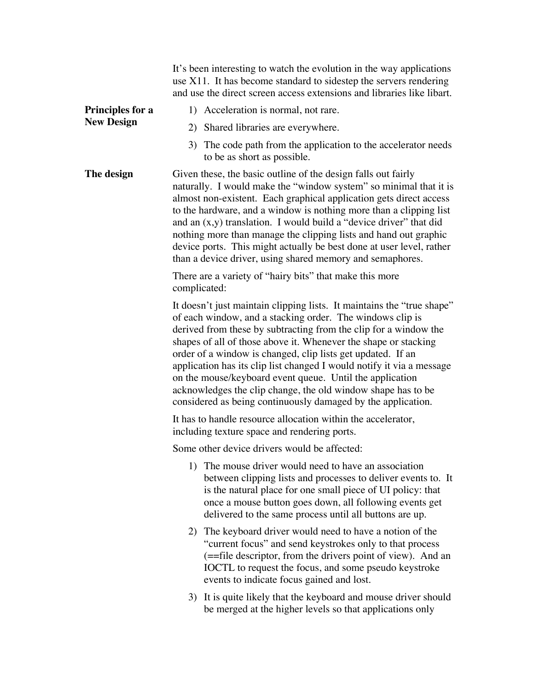|                         | It's been interesting to watch the evolution in the way applications<br>use X11. It has become standard to sidestep the servers rendering<br>and use the direct screen access extensions and libraries like libart.                                                                                                                                                                                                                                                                                                                                                                                            |  |  |
|-------------------------|----------------------------------------------------------------------------------------------------------------------------------------------------------------------------------------------------------------------------------------------------------------------------------------------------------------------------------------------------------------------------------------------------------------------------------------------------------------------------------------------------------------------------------------------------------------------------------------------------------------|--|--|
| <b>Principles for a</b> | 1) Acceleration is normal, not rare.                                                                                                                                                                                                                                                                                                                                                                                                                                                                                                                                                                           |  |  |
| <b>New Design</b>       | 2)<br>Shared libraries are everywhere.                                                                                                                                                                                                                                                                                                                                                                                                                                                                                                                                                                         |  |  |
|                         | 3) The code path from the application to the accelerator needs<br>to be as short as possible.                                                                                                                                                                                                                                                                                                                                                                                                                                                                                                                  |  |  |
| The design              | Given these, the basic outline of the design falls out fairly<br>naturally. I would make the "window system" so minimal that it is<br>almost non-existent. Each graphical application gets direct access<br>to the hardware, and a window is nothing more than a clipping list<br>and an $(x,y)$ translation. I would build a "device driver" that did<br>nothing more than manage the clipping lists and hand out graphic<br>device ports. This might actually be best done at user level, rather<br>than a device driver, using shared memory and semaphores.                                                |  |  |
|                         | There are a variety of "hairy bits" that make this more<br>complicated:                                                                                                                                                                                                                                                                                                                                                                                                                                                                                                                                        |  |  |
|                         | It doesn't just maintain clipping lists. It maintains the "true shape"<br>of each window, and a stacking order. The windows clip is<br>derived from these by subtracting from the clip for a window the<br>shapes of all of those above it. Whenever the shape or stacking<br>order of a window is changed, clip lists get updated. If an<br>application has its clip list changed I would notify it via a message<br>on the mouse/keyboard event queue. Until the application<br>acknowledges the clip change, the old window shape has to be<br>considered as being continuously damaged by the application. |  |  |
|                         | It has to handle resource allocation within the accelerator,<br>including texture space and rendering ports.                                                                                                                                                                                                                                                                                                                                                                                                                                                                                                   |  |  |
|                         | Some other device drivers would be affected:                                                                                                                                                                                                                                                                                                                                                                                                                                                                                                                                                                   |  |  |
|                         | 1) The mouse driver would need to have an association<br>between clipping lists and processes to deliver events to. It<br>is the natural place for one small piece of UI policy: that<br>once a mouse button goes down, all following events get<br>delivered to the same process until all buttons are up.                                                                                                                                                                                                                                                                                                    |  |  |
|                         | 2) The keyboard driver would need to have a notion of the<br>"current focus" and send keystrokes only to that process<br>(== file descriptor, from the drivers point of view). And an<br>IOCTL to request the focus, and some pseudo keystroke<br>events to indicate focus gained and lost.                                                                                                                                                                                                                                                                                                                    |  |  |
|                         | 3) It is quite likely that the keyboard and mouse driver should<br>be merged at the higher levels so that applications only                                                                                                                                                                                                                                                                                                                                                                                                                                                                                    |  |  |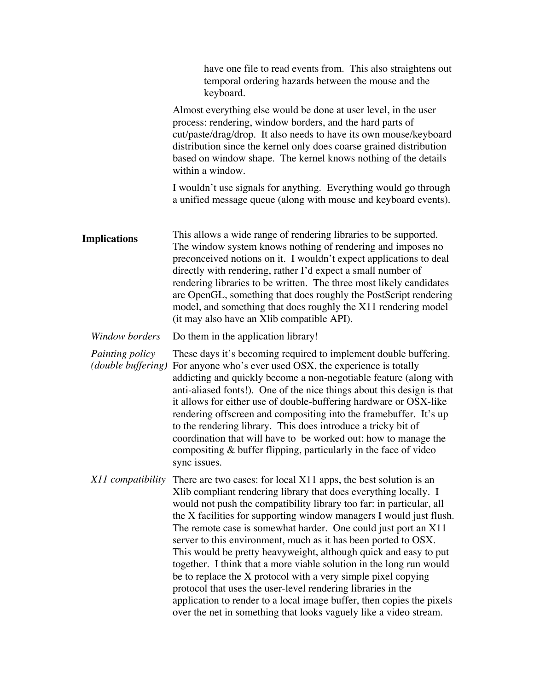|                                       | have one file to read events from. This also straightens out<br>temporal ordering hazards between the mouse and the<br>keyboard.                                                                                                                                                                                                                                                                                                                                                                                                                                                                                                                                                                                                                                                                                                                  |
|---------------------------------------|---------------------------------------------------------------------------------------------------------------------------------------------------------------------------------------------------------------------------------------------------------------------------------------------------------------------------------------------------------------------------------------------------------------------------------------------------------------------------------------------------------------------------------------------------------------------------------------------------------------------------------------------------------------------------------------------------------------------------------------------------------------------------------------------------------------------------------------------------|
|                                       | Almost everything else would be done at user level, in the user<br>process: rendering, window borders, and the hard parts of<br>cut/paste/drag/drop. It also needs to have its own mouse/keyboard<br>distribution since the kernel only does coarse grained distribution<br>based on window shape. The kernel knows nothing of the details<br>within a window.                                                                                                                                                                                                                                                                                                                                                                                                                                                                                    |
|                                       | I wouldn't use signals for anything. Everything would go through<br>a unified message queue (along with mouse and keyboard events).                                                                                                                                                                                                                                                                                                                                                                                                                                                                                                                                                                                                                                                                                                               |
| <b>Implications</b>                   | This allows a wide range of rendering libraries to be supported.<br>The window system knows nothing of rendering and imposes no<br>preconceived notions on it. I wouldn't expect applications to deal<br>directly with rendering, rather I'd expect a small number of<br>rendering libraries to be written. The three most likely candidates<br>are OpenGL, something that does roughly the PostScript rendering<br>model, and something that does roughly the X11 rendering model<br>(it may also have an Xlib compatible API).                                                                                                                                                                                                                                                                                                                  |
| Window borders                        | Do them in the application library!                                                                                                                                                                                                                                                                                                                                                                                                                                                                                                                                                                                                                                                                                                                                                                                                               |
| Painting policy<br>(double buffering) | These days it's becoming required to implement double buffering.<br>For anyone who's ever used OSX, the experience is totally<br>addicting and quickly become a non-negotiable feature (along with<br>anti-aliased fonts!). One of the nice things about this design is that<br>it allows for either use of double-buffering hardware or OSX-like<br>rendering offscreen and compositing into the framebuffer. It's up<br>to the rendering library. This does introduce a tricky bit of<br>coordination that will have to be worked out: how to manage the<br>compositing & buffer flipping, particularly in the face of video<br>sync issues.                                                                                                                                                                                                    |
| X11 compatibility                     | There are two cases: for local X11 apps, the best solution is an<br>Xlib compliant rendering library that does everything locally. I<br>would not push the compatibility library too far: in particular, all<br>the X facilities for supporting window managers I would just flush.<br>The remote case is somewhat harder. One could just port an X11<br>server to this environment, much as it has been ported to OSX.<br>This would be pretty heavyweight, although quick and easy to put<br>together. I think that a more viable solution in the long run would<br>be to replace the X protocol with a very simple pixel copying<br>protocol that uses the user-level rendering libraries in the<br>application to render to a local image buffer, then copies the pixels<br>over the net in something that looks vaguely like a video stream. |